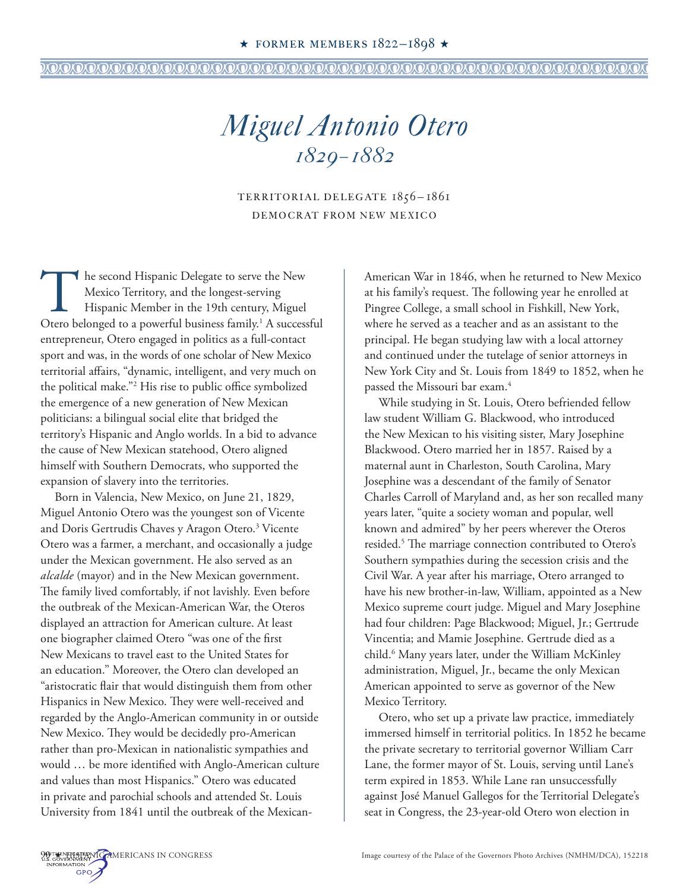#### 

*Miguel Antonio Otero 1829–1882*

Territorial Delegate 1856–1861 Democrat from New Mexico

The second Hispanic Delegate to serve the New<br>Mexico Territory, and the longest-serving<br>Hispanic Member in the 19th century, Miguel<br>Otero belonged to a powerful business family.<sup>1</sup> A success Mexico Territory, and the longest-serving Hispanic Member in the 19th century, Miguel Otero belonged to a powerful business family.<sup>1</sup> A successful entrepreneur, Otero engaged in politics as a full-contact sport and was, in the words of one scholar of New Mexico territorial affairs, "dynamic, intelligent, and very much on the political make."2 His rise to public office symbolized the emergence of a new generation of New Mexican politicians: a bilingual social elite that bridged the territory's Hispanic and Anglo worlds. In a bid to advance the cause of New Mexican statehood, Otero aligned himself with Southern Democrats, who supported the expansion of slavery into the territories.

Born in Valencia, New Mexico, on June 21, 1829, Miguel Antonio Otero was the youngest son of Vicente and Doris Gertrudis Chaves y Aragon Otero.<sup>3</sup> Vicente Otero was a farmer, a merchant, and occasionally a judge under the Mexican government. He also served as an *alcalde* (mayor) and in the New Mexican government. The family lived comfortably, if not lavishly. Even before the outbreak of the Mexican-American War, the Oteros displayed an attraction for American culture. At least one biographer claimed Otero "was one of the first New Mexicans to travel east to the United States for an education." Moreover, the Otero clan developed an "aristocratic flair that would distinguish them from other Hispanics in New Mexico. They were well-received and regarded by the Anglo-American community in or outside New Mexico. They would be decidedly pro-American rather than pro-Mexican in nationalistic sympathies and would … be more identified with Anglo-American culture and values than most Hispanics." Otero was educated in private and parochial schools and attended St. Louis University from 1841 until the outbreak of the MexicanAmerican War in 1846, when he returned to New Mexico at his family's request. The following year he enrolled at Pingree College, a small school in Fishkill, New York, where he served as a teacher and as an assistant to the principal. He began studying law with a local attorney and continued under the tutelage of senior attorneys in New York City and St. Louis from 1849 to 1852, when he passed the Missouri bar exam.4

While studying in St. Louis, Otero befriended fellow law student William G. Blackwood, who introduced the New Mexican to his visiting sister, Mary Josephine Blackwood. Otero married her in 1857. Raised by a maternal aunt in Charleston, South Carolina, Mary Josephine was a descendant of the family of Senator Charles Carroll of Maryland and, as her son recalled many years later, "quite a society woman and popular, well known and admired" by her peers wherever the Oteros resided.5 The marriage connection contributed to Otero's Southern sympathies during the secession crisis and the Civil War. A year after his marriage, Otero arranged to have his new brother-in-law, William, appointed as a New Mexico supreme court judge. Miguel and Mary Josephine had four children: Page Blackwood; Miguel, Jr.; Gertrude Vincentia; and Mamie Josephine. Gertrude died as a child.6 Many years later, under the William McKinley administration, Miguel, Jr., became the only Mexican American appointed to serve as governor of the New Mexico Territory.

Otero, who set up a private law practice, immediately immersed himself in territorial politics. In 1852 he became the private secretary to territorial governor William Carr Lane, the former mayor of St. Louis, serving until Lane's term expired in 1853. While Lane ran unsuccessfully against José Manuel Gallegos for the Territorial Delegate's seat in Congress, the 23-year-old Otero won election in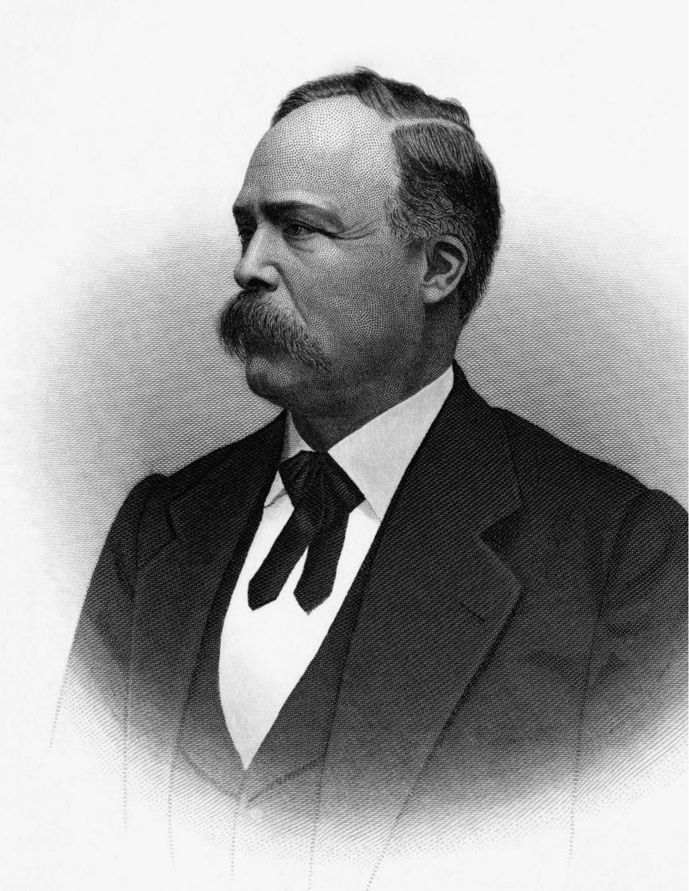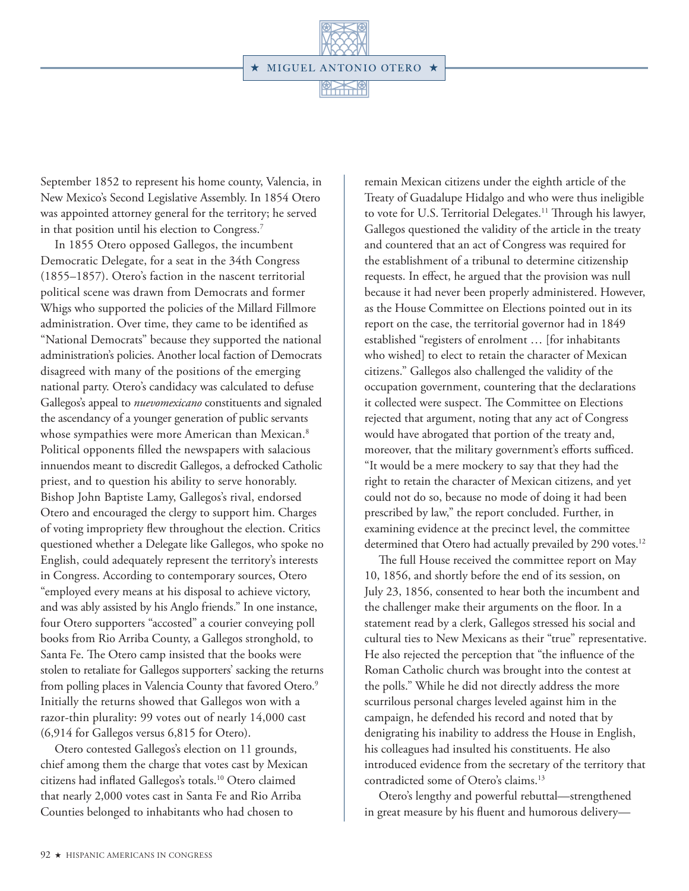September 1852 to represent his home county, Valencia, in New Mexico's Second Legislative Assembly. In 1854 Otero was appointed attorney general for the territory; he served in that position until his election to Congress.<sup>7</sup>

In 1855 Otero opposed Gallegos, the incumbent Democratic Delegate, for a seat in the 34th Congress (1855–1857). Otero's faction in the nascent territorial political scene was drawn from Democrats and former Whigs who supported the policies of the Millard Fillmore administration. Over time, they came to be identified as "National Democrats" because they supported the national administration's policies. Another local faction of Democrats disagreed with many of the positions of the emerging national party. Otero's candidacy was calculated to defuse Gallegos's appeal to *nuevomexicano* constituents and signaled the ascendancy of a younger generation of public servants whose sympathies were more American than Mexican.<sup>8</sup> Political opponents filled the newspapers with salacious innuendos meant to discredit Gallegos, a defrocked Catholic priest, and to question his ability to serve honorably. Bishop John Baptiste Lamy, Gallegos's rival, endorsed Otero and encouraged the clergy to support him. Charges of voting impropriety flew throughout the election. Critics questioned whether a Delegate like Gallegos, who spoke no English, could adequately represent the territory's interests in Congress. According to contemporary sources, Otero "employed every means at his disposal to achieve victory, and was ably assisted by his Anglo friends." In one instance, four Otero supporters "accosted" a courier conveying poll books from Rio Arriba County, a Gallegos stronghold, to Santa Fe. The Otero camp insisted that the books were stolen to retaliate for Gallegos supporters' sacking the returns from polling places in Valencia County that favored Otero.<sup>9</sup> Initially the returns showed that Gallegos won with a razor-thin plurality: 99 votes out of nearly 14,000 cast (6,914 for Gallegos versus 6,815 for Otero).

Otero contested Gallegos's election on 11 grounds, chief among them the charge that votes cast by Mexican citizens had inflated Gallegos's totals.10 Otero claimed that nearly 2,000 votes cast in Santa Fe and Rio Arriba Counties belonged to inhabitants who had chosen to

remain Mexican citizens under the eighth article of the Treaty of Guadalupe Hidalgo and who were thus ineligible to vote for U.S. Territorial Delegates.<sup>11</sup> Through his lawyer, Gallegos questioned the validity of the article in the treaty and countered that an act of Congress was required for the establishment of a tribunal to determine citizenship requests. In effect, he argued that the provision was null because it had never been properly administered. However, as the House Committee on Elections pointed out in its report on the case, the territorial governor had in 1849 established "registers of enrolment … [for inhabitants who wished] to elect to retain the character of Mexican citizens." Gallegos also challenged the validity of the occupation government, countering that the declarations it collected were suspect. The Committee on Elections rejected that argument, noting that any act of Congress would have abrogated that portion of the treaty and, moreover, that the military government's efforts sufficed. "It would be a mere mockery to say that they had the right to retain the character of Mexican citizens, and yet could not do so, because no mode of doing it had been prescribed by law," the report concluded. Further, in examining evidence at the precinct level, the committee determined that Otero had actually prevailed by 290 votes.<sup>12</sup>

The full House received the committee report on May 10, 1856, and shortly before the end of its session, on July 23, 1856, consented to hear both the incumbent and the challenger make their arguments on the floor. In a statement read by a clerk, Gallegos stressed his social and cultural ties to New Mexicans as their "true" representative. He also rejected the perception that "the influence of the Roman Catholic church was brought into the contest at the polls." While he did not directly address the more scurrilous personal charges leveled against him in the campaign, he defended his record and noted that by denigrating his inability to address the House in English, his colleagues had insulted his constituents. He also introduced evidence from the secretary of the territory that contradicted some of Otero's claims.<sup>13</sup>

Otero's lengthy and powerful rebuttal—strengthened in great measure by his fluent and humorous delivery—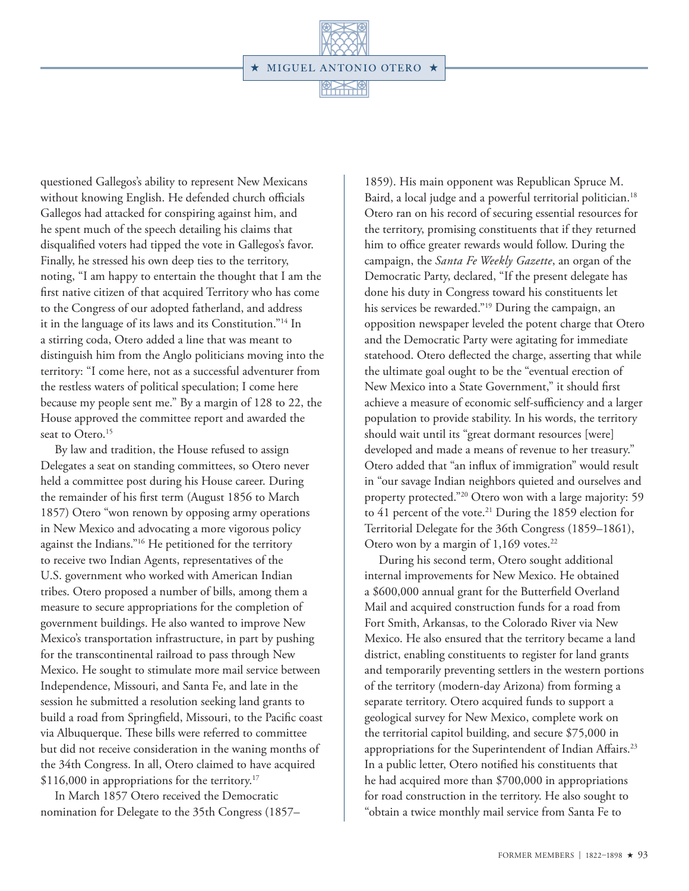questioned Gallegos's ability to represent New Mexicans without knowing English. He defended church officials Gallegos had attacked for conspiring against him, and he spent much of the speech detailing his claims that disqualified voters had tipped the vote in Gallegos's favor. Finally, he stressed his own deep ties to the territory, noting, "I am happy to entertain the thought that I am the first native citizen of that acquired Territory who has come to the Congress of our adopted fatherland, and address it in the language of its laws and its Constitution."14 In a stirring coda, Otero added a line that was meant to distinguish him from the Anglo politicians moving into the territory: "I come here, not as a successful adventurer from the restless waters of political speculation; I come here because my people sent me." By a margin of 128 to 22, the House approved the committee report and awarded the seat to Otero.<sup>15</sup>

By law and tradition, the House refused to assign Delegates a seat on standing committees, so Otero never held a committee post during his House career. During the remainder of his first term (August 1856 to March 1857) Otero "won renown by opposing army operations in New Mexico and advocating a more vigorous policy against the Indians."16 He petitioned for the territory to receive two Indian Agents, representatives of the U.S. government who worked with American Indian tribes. Otero proposed a number of bills, among them a measure to secure appropriations for the completion of government buildings. He also wanted to improve New Mexico's transportation infrastructure, in part by pushing for the transcontinental railroad to pass through New Mexico. He sought to stimulate more mail service between Independence, Missouri, and Santa Fe, and late in the session he submitted a resolution seeking land grants to build a road from Springfield, Missouri, to the Pacific coast via Albuquerque. These bills were referred to committee but did not receive consideration in the waning months of the 34th Congress. In all, Otero claimed to have acquired  $$116,000$  in appropriations for the territory.<sup>17</sup>

In March 1857 Otero received the Democratic nomination for Delegate to the 35th Congress (1857–

1859). His main opponent was Republican Spruce M. Baird, a local judge and a powerful territorial politician.<sup>18</sup> Otero ran on his record of securing essential resources for the territory, promising constituents that if they returned him to office greater rewards would follow. During the campaign, the *Santa Fe Weekly Gazette*, an organ of the Democratic Party, declared, "If the present delegate has done his duty in Congress toward his constituents let his services be rewarded."19 During the campaign, an opposition newspaper leveled the potent charge that Otero and the Democratic Party were agitating for immediate statehood. Otero deflected the charge, asserting that while the ultimate goal ought to be the "eventual erection of New Mexico into a State Government," it should first achieve a measure of economic self-sufficiency and a larger population to provide stability. In his words, the territory should wait until its "great dormant resources [were] developed and made a means of revenue to her treasury." Otero added that "an influx of immigration" would result in "our savage Indian neighbors quieted and ourselves and property protected."20 Otero won with a large majority: 59 to 41 percent of the vote.<sup>21</sup> During the 1859 election for Territorial Delegate for the 36th Congress (1859–1861), Otero won by a margin of  $1,169$  votes.<sup>22</sup>

During his second term, Otero sought additional internal improvements for New Mexico. He obtained a \$600,000 annual grant for the Butterfield Overland Mail and acquired construction funds for a road from Fort Smith, Arkansas, to the Colorado River via New Mexico. He also ensured that the territory became a land district, enabling constituents to register for land grants and temporarily preventing settlers in the western portions of the territory (modern-day Arizona) from forming a separate territory. Otero acquired funds to support a geological survey for New Mexico, complete work on the territorial capitol building, and secure \$75,000 in appropriations for the Superintendent of Indian Affairs.<sup>23</sup> In a public letter, Otero notified his constituents that he had acquired more than \$700,000 in appropriations for road construction in the territory. He also sought to "obtain a twice monthly mail service from Santa Fe to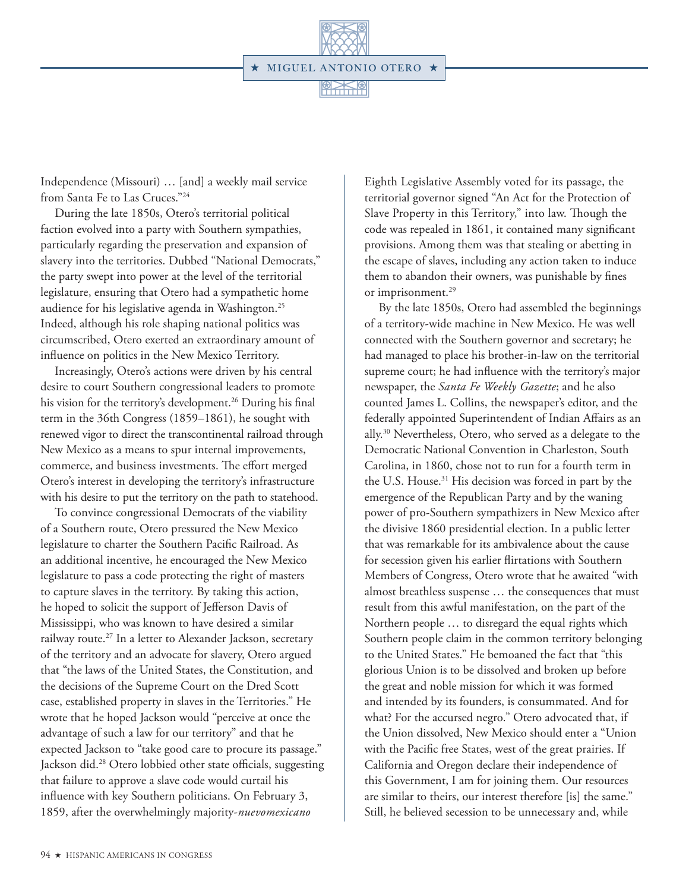Independence (Missouri) … [and] a weekly mail service from Santa Fe to Las Cruces."24

 $\star$  MIGUEL ANTONIO OTERO  $\star$ 

During the late 1850s, Otero's territorial political faction evolved into a party with Southern sympathies, particularly regarding the preservation and expansion of slavery into the territories. Dubbed "National Democrats," the party swept into power at the level of the territorial legislature, ensuring that Otero had a sympathetic home audience for his legislative agenda in Washington.25 Indeed, although his role shaping national politics was circumscribed, Otero exerted an extraordinary amount of influence on politics in the New Mexico Territory.

Increasingly, Otero's actions were driven by his central desire to court Southern congressional leaders to promote his vision for the territory's development.<sup>26</sup> During his final term in the 36th Congress (1859–1861), he sought with renewed vigor to direct the transcontinental railroad through New Mexico as a means to spur internal improvements, commerce, and business investments. The effort merged Otero's interest in developing the territory's infrastructure with his desire to put the territory on the path to statehood.

To convince congressional Democrats of the viability of a Southern route, Otero pressured the New Mexico legislature to charter the Southern Pacific Railroad. As an additional incentive, he encouraged the New Mexico legislature to pass a code protecting the right of masters to capture slaves in the territory. By taking this action, he hoped to solicit the support of Jefferson Davis of Mississippi, who was known to have desired a similar railway route.27 In a letter to Alexander Jackson, secretary of the territory and an advocate for slavery, Otero argued that "the laws of the United States, the Constitution, and the decisions of the Supreme Court on the Dred Scott case, established property in slaves in the Territories." He wrote that he hoped Jackson would "perceive at once the advantage of such a law for our territory" and that he expected Jackson to "take good care to procure its passage." Jackson did.28 Otero lobbied other state officials, suggesting that failure to approve a slave code would curtail his influence with key Southern politicians. On February 3, 1859, after the overwhelmingly majority-*nuevomexicano*

Eighth Legislative Assembly voted for its passage, the territorial governor signed "An Act for the Protection of Slave Property in this Territory," into law. Though the code was repealed in 1861, it contained many significant provisions. Among them was that stealing or abetting in the escape of slaves, including any action taken to induce them to abandon their owners, was punishable by fines or imprisonment.<sup>29</sup>

By the late 1850s, Otero had assembled the beginnings of a territory-wide machine in New Mexico. He was well connected with the Southern governor and secretary; he had managed to place his brother-in-law on the territorial supreme court; he had influence with the territory's major newspaper, the *Santa Fe Weekly Gazette*; and he also counted James L. Collins, the newspaper's editor, and the federally appointed Superintendent of Indian Affairs as an ally.30 Nevertheless, Otero, who served as a delegate to the Democratic National Convention in Charleston, South Carolina, in 1860, chose not to run for a fourth term in the U.S. House.<sup>31</sup> His decision was forced in part by the emergence of the Republican Party and by the waning power of pro-Southern sympathizers in New Mexico after the divisive 1860 presidential election. In a public letter that was remarkable for its ambivalence about the cause for secession given his earlier flirtations with Southern Members of Congress, Otero wrote that he awaited "with almost breathless suspense … the consequences that must result from this awful manifestation, on the part of the Northern people … to disregard the equal rights which Southern people claim in the common territory belonging to the United States." He bemoaned the fact that "this glorious Union is to be dissolved and broken up before the great and noble mission for which it was formed and intended by its founders, is consummated. And for what? For the accursed negro." Otero advocated that, if the Union dissolved, New Mexico should enter a "Union with the Pacific free States, west of the great prairies. If California and Oregon declare their independence of this Government, I am for joining them. Our resources are similar to theirs, our interest therefore [is] the same." Still, he believed secession to be unnecessary and, while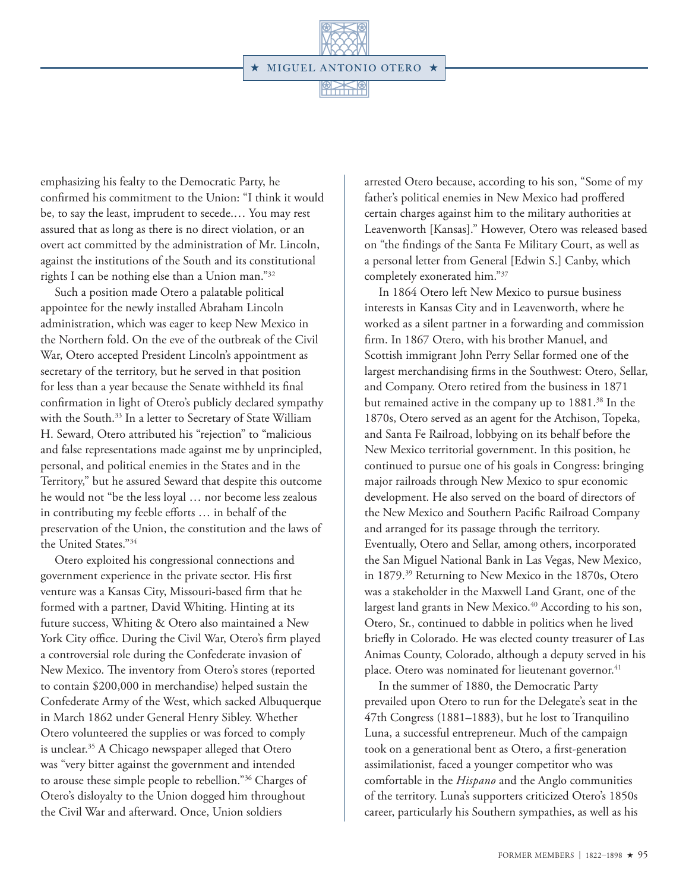emphasizing his fealty to the Democratic Party, he confirmed his commitment to the Union: "I think it would be, to say the least, imprudent to secede.… You may rest assured that as long as there is no direct violation, or an overt act committed by the administration of Mr. Lincoln, against the institutions of the South and its constitutional rights I can be nothing else than a Union man."32

Such a position made Otero a palatable political appointee for the newly installed Abraham Lincoln administration, which was eager to keep New Mexico in the Northern fold. On the eve of the outbreak of the Civil War, Otero accepted President Lincoln's appointment as secretary of the territory, but he served in that position for less than a year because the Senate withheld its final confirmation in light of Otero's publicly declared sympathy with the South.<sup>33</sup> In a letter to Secretary of State William H. Seward, Otero attributed his "rejection" to "malicious and false representations made against me by unprincipled, personal, and political enemies in the States and in the Territory," but he assured Seward that despite this outcome he would not "be the less loyal … nor become less zealous in contributing my feeble efforts … in behalf of the preservation of the Union, the constitution and the laws of the United States."34

Otero exploited his congressional connections and government experience in the private sector. His first venture was a Kansas City, Missouri-based firm that he formed with a partner, David Whiting. Hinting at its future success, Whiting & Otero also maintained a New York City office. During the Civil War, Otero's firm played a controversial role during the Confederate invasion of New Mexico. The inventory from Otero's stores (reported to contain \$200,000 in merchandise) helped sustain the Confederate Army of the West, which sacked Albuquerque in March 1862 under General Henry Sibley. Whether Otero volunteered the supplies or was forced to comply is unclear.<sup>35</sup> A Chicago newspaper alleged that Otero was "very bitter against the government and intended to arouse these simple people to rebellion."36 Charges of Otero's disloyalty to the Union dogged him throughout the Civil War and afterward. Once, Union soldiers

arrested Otero because, according to his son, "Some of my father's political enemies in New Mexico had proffered certain charges against him to the military authorities at Leavenworth [Kansas]." However, Otero was released based on "the findings of the Santa Fe Military Court, as well as a personal letter from General [Edwin S.] Canby, which completely exonerated him."37

In 1864 Otero left New Mexico to pursue business interests in Kansas City and in Leavenworth, where he worked as a silent partner in a forwarding and commission firm. In 1867 Otero, with his brother Manuel, and Scottish immigrant John Perry Sellar formed one of the largest merchandising firms in the Southwest: Otero, Sellar, and Company. Otero retired from the business in 1871 but remained active in the company up to 1881.<sup>38</sup> In the 1870s, Otero served as an agent for the Atchison, Topeka, and Santa Fe Railroad, lobbying on its behalf before the New Mexico territorial government. In this position, he continued to pursue one of his goals in Congress: bringing major railroads through New Mexico to spur economic development. He also served on the board of directors of the New Mexico and Southern Pacific Railroad Company and arranged for its passage through the territory. Eventually, Otero and Sellar, among others, incorporated the San Miguel National Bank in Las Vegas, New Mexico, in 1879.39 Returning to New Mexico in the 1870s, Otero was a stakeholder in the Maxwell Land Grant, one of the largest land grants in New Mexico.<sup>40</sup> According to his son, Otero, Sr., continued to dabble in politics when he lived briefly in Colorado. He was elected county treasurer of Las Animas County, Colorado, although a deputy served in his place. Otero was nominated for lieutenant governor.<sup>41</sup>

In the summer of 1880, the Democratic Party prevailed upon Otero to run for the Delegate's seat in the 47th Congress (1881–1883), but he lost to Tranquilino Luna, a successful entrepreneur. Much of the campaign took on a generational bent as Otero, a first-generation assimilationist, faced a younger competitor who was comfortable in the *Hispano* and the Anglo communities of the territory. Luna's supporters criticized Otero's 1850s career, particularly his Southern sympathies, as well as his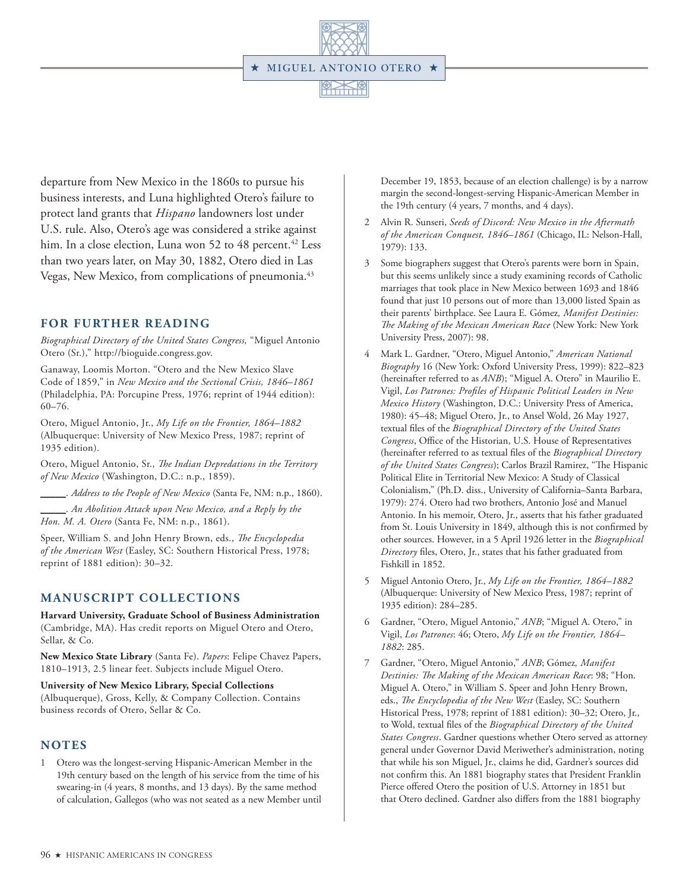departure from New Mexico in the 1860s to pursue his business interests, and Luna highlighted Otero's failure to protect land grants that *Hispano* landowners lost under U.S. rule. Also, Otero's age was considered a strike against him. In a close election, Luna won 52 to 48 percent.<sup>42</sup> Less than two years later, on May 30, 1882, Otero died in Las Vegas, New Mexico, from complications of pneumonia.<sup>43</sup>

#### **For further Reading**

*Biographical Directory of the United States Congress,* "Miguel Antonio Otero (Sr.)," http://bioguide.congress.gov.

Ganaway, Loomis Morton. "Otero and the New Mexico Slave Code of 1859," in *New Mexico and the Sectional Crisis, 1846–1861* (Philadelphia, PA: Porcupine Press, 1976; reprint of 1944 edition): 60–76.

Otero, Miguel Antonio, Jr., *My Life on the Frontier, 1864–1882* (Albuquerque: University of New Mexico Press, 1987; reprint of 1935 edition).

Otero, Miguel Antonio, Sr., *The Indian Depredations in the Territory of New Mexico* (Washington, D.C.: n.p., 1859).

\_\_\_\_\_. *Address to the People of New Mexico* (Santa Fe, NM: n.p., 1860).

\_\_\_\_\_. *An Abolition Attack upon New Mexico, and a Reply by the Hon. M. A. Otero* (Santa Fe, NM: n.p., 1861).

Speer, William S. and John Henry Brown, eds., *The Encyclopedia of the American West* (Easley, SC: Southern Historical Press, 1978; reprint of 1881 edition): 30–32.

#### **Manuscript Collections**

**Harvard University, Graduate School of Business Administration**  (Cambridge, MA). Has credit reports on Miguel Otero and Otero, Sellar, & Co.

**New Mexico State Library** (Santa Fe). *Papers*: Felipe Chavez Papers, 1810–1913, 2.5 linear feet. Subjects include Miguel Otero.

**University of New Mexico Library, Special Collections** (Albuquerque), Gross, Kelly, & Company Collection. Contains business records of Otero, Sellar & Co.

#### **NOTES**

1 Otero was the longest-serving Hispanic-American Member in the 19th century based on the length of his service from the time of his swearing-in (4 years, 8 months, and 13 days). By the same method of calculation, Gallegos (who was not seated as a new Member until December 19, 1853, because of an election challenge) is by a narrow margin the second-longest-serving Hispanic-American Member in the 19th century (4 years, 7 months, and 4 days).

- 2 Alvin R. Sunseri, *Seeds of Discord: New Mexico in the Aftermath of the American Conquest, 1846–1861* (Chicago, IL: Nelson-Hall, 1979): 133.
- 3 Some biographers suggest that Otero's parents were born in Spain, but this seems unlikely since a study examining records of Catholic marriages that took place in New Mexico between 1693 and 1846 found that just 10 persons out of more than 13,000 listed Spain as their parents' birthplace. See Laura E. Gómez*, Manifest Destinies: The Making of the Mexican American Race* (New York: New York University Press, 2007): 98.
- 4 Mark L. Gardner, "Otero, Miguel Antonio," *American National Biography* 16 (New York: Oxford University Press, 1999): 822–823 (hereinafter referred to as *ANB*); "Miguel A. Otero" in Maurilio E. Vigil, *Los Patrones: Profiles of Hispanic Political Leaders in New Mexico History* (Washington, D.C.: University Press of America, 1980): 45–48; Miguel Otero, Jr., to Ansel Wold, 26 May 1927, textual files of the *Biographical Directory of the United States Congress*, Office of the Historian, U.S. House of Representatives (hereinafter referred to as textual files of the *Biographical Directory of the United States Congress*); Carlos Brazil Ramirez, "The Hispanic Political Elite in Territorial New Mexico: A Study of Classical Colonialism," (Ph.D. diss., University of California–Santa Barbara, 1979): 274. Otero had two brothers, Antonio José and Manuel Antonio. In his memoir, Otero, Jr., asserts that his father graduated from St. Louis University in 1849, although this is not confirmed by other sources. However, in a 5 April 1926 letter in the *Biographical Directory* files, Otero, Jr., states that his father graduated from Fishkill in 1852.
- 5 Miguel Antonio Otero, Jr., *My Life on the Frontier, 1864–1882* (Albuquerque: University of New Mexico Press, 1987; reprint of 1935 edition): 284–285.
- 6 Gardner, "Otero, Miguel Antonio," *ANB*; "Miguel A. Otero," in Vigil, *Los Patrones*: 46; Otero, *My Life on the Frontier, 1864– 1882*: 285.
- 7 Gardner, "Otero, Miguel Antonio," *ANB*; Gómez*, Manifest Destinies: The Making of the Mexican American Race*: 98; "Hon. Miguel A. Otero," in William S. Speer and John Henry Brown, eds., *The Encyclopedia of the New West* (Easley, SC: Southern Historical Press, 1978; reprint of 1881 edition): 30–32; Otero, Jr., to Wold, textual files of the *Biographical Directory of the United States Congress*. Gardner questions whether Otero served as attorney general under Governor David Meriwether's administration, noting that while his son Miguel, Jr., claims he did, Gardner's sources did not confirm this. An 1881 biography states that President Franklin Pierce offered Otero the position of U.S. Attorney in 1851 but that Otero declined. Gardner also differs from the 1881 biography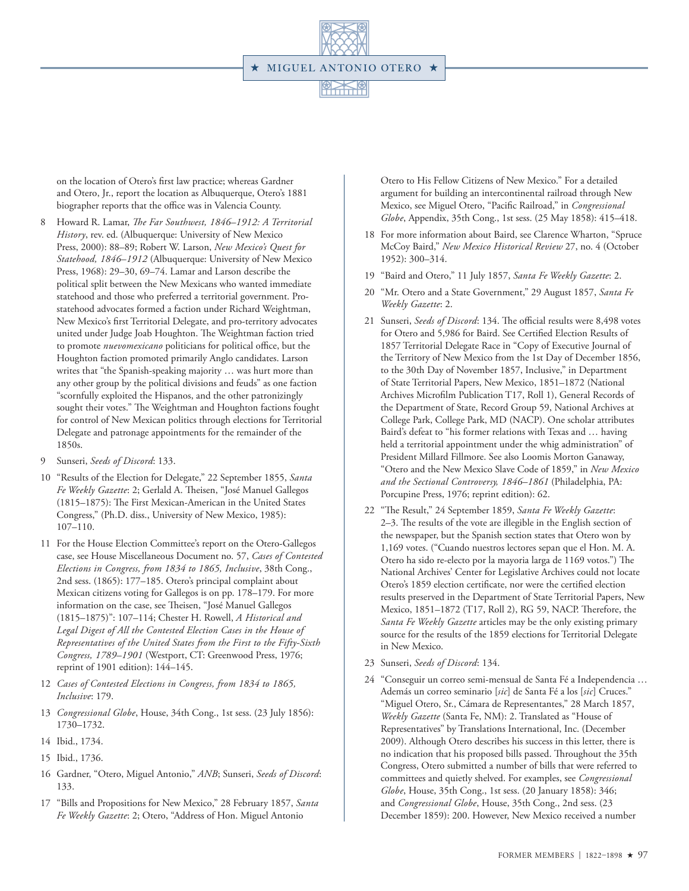

on the location of Otero's first law practice; whereas Gardner and Otero, Jr., report the location as Albuquerque, Otero's 1881 biographer reports that the office was in Valencia County.

- 8 Howard R. Lamar, *The Far Southwest, 1846–1912: A Territorial History*, rev. ed. (Albuquerque: University of New Mexico Press, 2000): 88–89; Robert W. Larson, *New Mexico's Quest for Statehood, 1846–1912* (Albuquerque: University of New Mexico Press, 1968): 29–30, 69–74. Lamar and Larson describe the political split between the New Mexicans who wanted immediate statehood and those who preferred a territorial government. Prostatehood advocates formed a faction under Richard Weightman, New Mexico's first Territorial Delegate, and pro-territory advocates united under Judge Joab Houghton. The Weightman faction tried to promote *nuevomexicano* politicians for political office, but the Houghton faction promoted primarily Anglo candidates. Larson writes that "the Spanish-speaking majority … was hurt more than any other group by the political divisions and feuds" as one faction "scornfully exploited the Hispanos, and the other patronizingly sought their votes." The Weightman and Houghton factions fought for control of New Mexican politics through elections for Territorial Delegate and patronage appointments for the remainder of the 1850s.
- Sunseri, *Seeds of Discord*: 133.
- 10 "Results of the Election for Delegate," 22 September 1855, *Santa Fe Weekly Gazette*: 2; Gerlald A. Theisen, "José Manuel Gallegos (1815–1875): The First Mexican-American in the United States Congress," (Ph.D. diss., University of New Mexico, 1985): 107–110.
- 11 For the House Election Committee's report on the Otero-Gallegos case, see House Miscellaneous Document no. 57, *Cases of Contested Elections in Congress, from 1834 to 1865, Inclusive*, 38th Cong., 2nd sess. (1865): 177–185. Otero's principal complaint about Mexican citizens voting for Gallegos is on pp. 178–179. For more information on the case, see Theisen, "José Manuel Gallegos (1815–1875)": 107–114; Chester H. Rowell, *A Historical and Legal Digest of All the Contested Election Cases in the House of Representatives of the United States from the First to the Fifty-Sixth Congress, 1789–1901* (Westport, CT: Greenwood Press, 1976; reprint of 1901 edition): 144–145.
- 12 *Cases of Contested Elections in Congress, from 1834 to 1865, Inclusive*: 179.
- 13 *Congressional Globe*, House, 34th Cong., 1st sess. (23 July 1856): 1730–1732.
- 14 Ibid., 1734.
- 15 Ibid., 1736.
- 16 Gardner, "Otero, Miguel Antonio," *ANB*; Sunseri, *Seeds of Discord*: 133.
- 17 "Bills and Propositions for New Mexico," 28 February 1857, *Santa Fe Weekly Gazette*: 2; Otero, "Address of Hon. Miguel Antonio

Otero to His Fellow Citizens of New Mexico." For a detailed argument for building an intercontinental railroad through New Mexico, see Miguel Otero, "Pacific Railroad," in *Congressional Globe*, Appendix, 35th Cong., 1st sess. (25 May 1858): 415–418.

- 18 For more information about Baird, see Clarence Wharton, "Spruce McCoy Baird," *New Mexico Historical Review* 27, no. 4 (October 1952): 300–314.
- 19 "Baird and Otero," 11 July 1857, *Santa Fe Weekly Gazette*: 2.
- 20 "Mr. Otero and a State Government," 29 August 1857, *Santa Fe Weekly Gazette*: 2.
- 21 Sunseri, *Seeds of Discord*: 134. The official results were 8,498 votes for Otero and 5,986 for Baird. See Certified Election Results of 1857 Territorial Delegate Race in "Copy of Executive Journal of the Territory of New Mexico from the 1st Day of December 1856, to the 30th Day of November 1857, Inclusive," in Department of State Territorial Papers, New Mexico, 1851–1872 (National Archives Microfilm Publication T17, Roll 1), General Records of the Department of State, Record Group 59, National Archives at College Park, College Park, MD (NACP). One scholar attributes Baird's defeat to "his former relations with Texas and … having held a territorial appointment under the whig administration" of President Millard Fillmore. See also Loomis Morton Ganaway, "Otero and the New Mexico Slave Code of 1859," in *New Mexico and the Sectional Controversy, 1846–1861* (Philadelphia, PA: Porcupine Press, 1976; reprint edition): 62.
- 22 "The Result," 24 September 1859, *Santa Fe Weekly Gazette*: 2–3. The results of the vote are illegible in the English section of the newspaper, but the Spanish section states that Otero won by 1,169 votes. ("Cuando nuestros lectores sepan que el Hon. M. A. Otero ha sido re-electo por la mayoria larga de 1169 votos.") The National Archives' Center for Legislative Archives could not locate Otero's 1859 election certificate, nor were the certified election results preserved in the Department of State Territorial Papers, New Mexico, 1851–1872 (T17, Roll 2), RG 59, NACP. Therefore, the *Santa Fe Weekly Gazette* articles may be the only existing primary source for the results of the 1859 elections for Territorial Delegate in New Mexico.
- 23 Sunseri, *Seeds of Discord*: 134.
- 24 "Conseguir un correo semi-mensual de Santa Fé a Independencia … Además un correo seminario [*sic*] de Santa Fé a los [*sic*] Cruces." "Miguel Otero, Sr., Cámara de Representantes," 28 March 1857, *Weekly Gazette* (Santa Fe, NM): 2. Translated as "House of Representatives" by Translations International, Inc. (December 2009). Although Otero describes his success in this letter, there is no indication that his proposed bills passed. Throughout the 35th Congress, Otero submitted a number of bills that were referred to committees and quietly shelved. For examples, see *Congressional Globe*, House, 35th Cong., 1st sess. (20 January 1858): 346; and *Congressional Globe*, House, 35th Cong., 2nd sess. (23 December 1859): 200. However, New Mexico received a number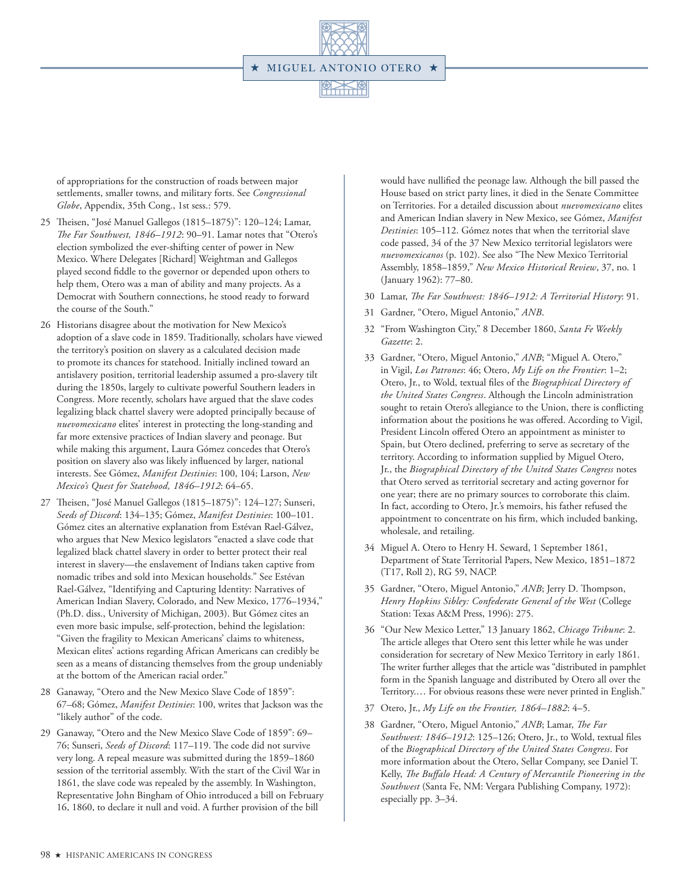#### MIGUEL ANTONIO OTERO  $\star$

of appropriations for the construction of roads between major settlements, smaller towns, and military forts. See *Congressional Globe*, Appendix, 35th Cong., 1st sess.: 579.

- 25 Theisen, "José Manuel Gallegos (1815–1875)": 120–124; Lamar, *The Far Southwest, 1846–1912*: 90–91. Lamar notes that "Otero's election symbolized the ever-shifting center of power in New Mexico. Where Delegates [Richard] Weightman and Gallegos played second fiddle to the governor or depended upon others to help them, Otero was a man of ability and many projects. As a Democrat with Southern connections, he stood ready to forward the course of the South."
- 26 Historians disagree about the motivation for New Mexico's adoption of a slave code in 1859. Traditionally, scholars have viewed the territory's position on slavery as a calculated decision made to promote its chances for statehood. Initially inclined toward an antislavery position, territorial leadership assumed a pro-slavery tilt during the 1850s, largely to cultivate powerful Southern leaders in Congress. More recently, scholars have argued that the slave codes legalizing black chattel slavery were adopted principally because of *nuevomexicano* elites' interest in protecting the long-standing and far more extensive practices of Indian slavery and peonage. But while making this argument, Laura Gómez concedes that Otero's position on slavery also was likely influenced by larger, national interests. See Gómez, *Manifest Destinies*: 100, 104; Larson, *New Mexico's Quest for Statehood, 1846–1912*: 64–65.
- 27 Theisen, "José Manuel Gallegos (1815–1875)": 124–127; Sunseri, *Seeds of Discord*: 134–135; Gómez, *Manifest Destinies*: 100–101. Gómez cites an alternative explanation from Estévan Rael-Gálvez, who argues that New Mexico legislators "enacted a slave code that legalized black chattel slavery in order to better protect their real interest in slavery—the enslavement of Indians taken captive from nomadic tribes and sold into Mexican households." See Estévan Rael-Gálvez, "Identifying and Capturing Identity: Narratives of American Indian Slavery, Colorado, and New Mexico, 1776–1934," (Ph.D. diss., University of Michigan, 2003). But Gómez cites an even more basic impulse, self-protection, behind the legislation: "Given the fragility to Mexican Americans' claims to whiteness, Mexican elites' actions regarding African Americans can credibly be seen as a means of distancing themselves from the group undeniably at the bottom of the American racial order."
- 28 Ganaway, "Otero and the New Mexico Slave Code of 1859": 67–68; Gómez, *Manifest Destinies*: 100, writes that Jackson was the "likely author" of the code.
- 29 Ganaway, "Otero and the New Mexico Slave Code of 1859": 69– 76; Sunseri, *Seeds of Discord*: 117–119. The code did not survive very long. A repeal measure was submitted during the 1859–1860 session of the territorial assembly. With the start of the Civil War in 1861, the slave code was repealed by the assembly. In Washington, Representative John Bingham of Ohio introduced a bill on February 16, 1860, to declare it null and void. A further provision of the bill

would have nullified the peonage law. Although the bill passed the House based on strict party lines, it died in the Senate Committee on Territories. For a detailed discussion about *nuevomexicano* elites and American Indian slavery in New Mexico, see Gómez, *Manifest Destinies*: 105–112. Gómez notes that when the territorial slave code passed, 34 of the 37 New Mexico territorial legislators were *nuevomexicanos* (p. 102). See also "The New Mexico Territorial Assembly, 1858–1859," *New Mexico Historical Review*, 37, no. 1 (January 1962): 77–80.

- 30 Lamar, *The Far Southwest: 1846–1912: A Territorial History*: 91.
- 31 Gardner, "Otero, Miguel Antonio," *ANB*.
- 32 "From Washington City," 8 December 1860, *Santa Fe Weekly Gazette*: 2.
- 33 Gardner, "Otero, Miguel Antonio," *ANB*; "Miguel A. Otero," in Vigil, *Los Patrones*: 46; Otero, *My Life on the Frontier*: 1–2; Otero, Jr., to Wold, textual files of the *Biographical Directory of the United States Congress*. Although the Lincoln administration sought to retain Otero's allegiance to the Union, there is conflicting information about the positions he was offered. According to Vigil, President Lincoln offered Otero an appointment as minister to Spain, but Otero declined, preferring to serve as secretary of the territory. According to information supplied by Miguel Otero, Jr., the *Biographical Directory of the United States Congress* notes that Otero served as territorial secretary and acting governor for one year; there are no primary sources to corroborate this claim. In fact, according to Otero, Jr.'s memoirs, his father refused the appointment to concentrate on his firm, which included banking, wholesale, and retailing.
- 34 Miguel A. Otero to Henry H. Seward, 1 September 1861, Department of State Territorial Papers, New Mexico, 1851–1872 (T17, Roll 2), RG 59, NACP.
- 35 Gardner, "Otero, Miguel Antonio," *ANB*; Jerry D. Thompson, *Henry Hopkins Sibley: Confederate General of the West* (College Station: Texas A&M Press, 1996): 275.
- 36 "Our New Mexico Letter," 13 January 1862, *Chicago Tribune*: 2. The article alleges that Otero sent this letter while he was under consideration for secretary of New Mexico Territory in early 1861. The writer further alleges that the article was "distributed in pamphlet form in the Spanish language and distributed by Otero all over the Territory.… For obvious reasons these were never printed in English."
- 37 Otero, Jr., *My Life on the Frontier, 1864–1882*: 4–5.
- 38 Gardner, "Otero, Miguel Antonio," *ANB*; Lamar, *The Far Southwest: 1846–1912*: 125–126; Otero, Jr., to Wold, textual files of the *Biographical Directory of the United States Congress*. For more information about the Otero, Sellar Company, see Daniel T. Kelly, *The Buffalo Head: A Century of Mercantile Pioneering in the Southwest* (Santa Fe, NM: Vergara Publishing Company, 1972): especially pp. 3–34.